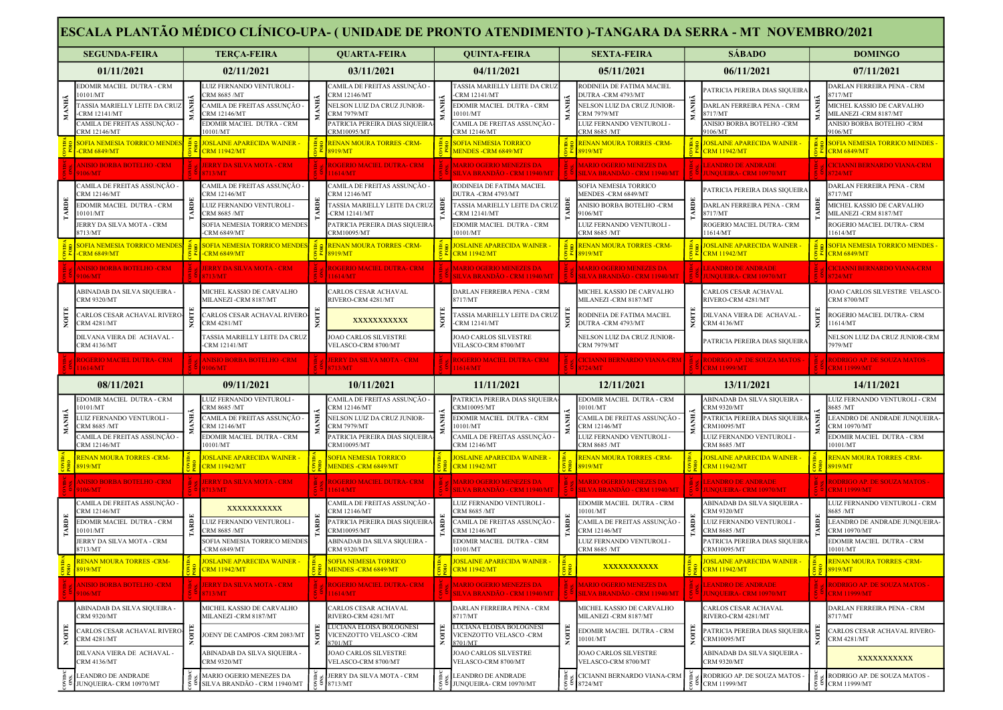|                                     | ESCALA PLANTÃO MÉDICO CLÍNICO-UPA- (UNIDADE DE PRONTO ATENDIMENTO )-TANGARA DA SERRA - MT NOVEMBRO/2021 |    |                                                                           |                |                                                                           |       |                                                                       |                |                                                                  |       |                                                                          |       |                                                                 |
|-------------------------------------|---------------------------------------------------------------------------------------------------------|----|---------------------------------------------------------------------------|----------------|---------------------------------------------------------------------------|-------|-----------------------------------------------------------------------|----------------|------------------------------------------------------------------|-------|--------------------------------------------------------------------------|-------|-----------------------------------------------------------------|
|                                     | <b>SEGUNDA-FEIRA</b>                                                                                    |    | <b>TERCA-FEIRA</b>                                                        |                | <b>QUARTA-FEIRA</b>                                                       |       | <b>QUINTA-FEIRA</b>                                                   |                | <b>SEXTA-FEIRA</b>                                               |       | <b>SÁBADO</b>                                                            |       | <b>DOMINGO</b>                                                  |
|                                     | 01/11/2021                                                                                              |    | 02/11/2021                                                                |                | 03/11/2021                                                                |       | 04/11/2021                                                            |                | 05/11/2021                                                       |       | 06/11/2021                                                               |       | 07/11/2021                                                      |
|                                     | EDOMIR MACIEL DUTRA - CRM<br>0101/MT                                                                    |    | LUIZ FERNANDO VENTUROLI -<br><b>RM 8685/MT</b>                            |                | CAMILA DE FREITAS ASSUNÇÃO -<br><b>CRM 12146/MT</b>                       |       | <b>TASSIA MARIELLY LEITE DA CRUZ</b><br><b>CRM 12141/MT</b>           |                | RODINEIA DE FATIMA MACIEL<br><b>DUTRA-CRM 4793/MT</b>            |       | ATRICIA PEREIRA DIAS SIQUEIRA                                            |       | <b>DARLAN FERREIRA PENA - CRM</b><br>3717/MT                    |
| MANHÃ                               | ASSIA MARIELLY LEITE DA CRU<br>CRM 12141/MT                                                             |    | 'AMILA DE FREITAS ASSUNÇÃO -<br>RM 12146/MT                               | E              | NELSON LUIZ DA CRUZ JUNIOR-<br><b>CRM 7979/MT</b>                         |       | EDOMIR MACIEL DUTRA - CRM<br>10101/MT                                 |                | VELSON LUIZ DA CRUZ JUNIOR-<br><b>RM 7979/MT</b>                 | ŇЕV   | <b>DARLAN FERREIRA PENA - CRM</b><br>717/MT                              | E     | MICHEL KASSIO DE CARVALHO<br>MILANEZI -CRM 8187/MT              |
|                                     | AMILA DE FREITAS ASSUNÇÃO<br>RM 12146/MT                                                                |    | DOMIR MACIEL DUTRA - CRM<br>0101/MT                                       |                | PATRICIA PEREIRA DIAS SIQUEIR.<br><b>CRM10095/MT</b>                      |       | CAMILA DE FREITAS ASSUNÇÃO -<br>RM 12146/MT                           |                | <b>UIZ FERNANDO VENTUROLI-</b><br><b>CRM 8685 /MT</b>            | Σ     | ANISIO BORBA BOTELHO -CRM<br>106/MT                                      |       | ANISIO BORBA BOTELHO -CRM<br>106/MT                             |
|                                     | <b>OFIA NEMESIA TORRICO MENDES</b><br><b>CRM 6849/MT</b>                                                | è۹ | <mark>IOSLAINE APARECIDA WAINER -</mark><br><b>CRM 11942/MT</b>           |                | <b>RENAN MOURA TORRES -CRM-</b><br>8919/MT                                |       | <b>SOFIA NEMESIA TORRICO</b><br>MENDES - CRM 6849/MT                  |                | <b>RENAN MOURA TORRES -CRM-</b><br>8919/MT                       |       | <b>JOSLAINE APARECIDA WAINER -</b><br><b>CRM 11942/MT</b>                |       | <b>SOFIA NEMESIA TORRICO MENDES</b><br>$\mathbb{Z}$ CRM 6849/MT |
|                                     | <b>INISIO BORBA BOTELHO -CRM</b><br>106/MT                                                              |    | <b>JERRY DA SILVA MOTA - CRM</b><br>8713/MT                               |                | <b>ROGERIO MACIEL DUTRA- CRM</b><br>1614/MT                               |       | <b>MARIO OGERIO MENEZES DA</b><br>SILVA BRANDÃO - CRM 11940/MT        |                | <b>MARIO OGERIO MENEZES DA</b><br>SILVA BRANDÃO - CRM 11940/MT   |       | <b>LEANDRO DE ANDRADE</b><br><b>UNQUEIRA- CRM 10970/MT</b>               |       | <b>CICIANNI BERNARDO VIANA-CRM</b><br>8724/MT                   |
|                                     | :AMILA DE FREITAS ASSUNÇÃO<br>RM 12146/MT                                                               |    | :AMILA DE FREITAS ASSUNÇÃO -<br><b>RM 12146/MT</b>                        |                | CAMILA DE FREITAS ASSUNÇÃO :<br><b>RM 12146/MT</b>                        |       | RODINEIA DE FATIMA MACIEL<br><b>DUTRA -CRM 4793/MT</b>                |                | SOFIA NEMESIA TORRICO<br><b>MENDES -CRM 6849/MT</b>              |       | ATRICIA PEREIRA DIAS SIQUEIRA                                            |       | DARLAN FERREIRA PENA - CRM<br>717/MT                            |
| ARDE                                | <b>EDOMIR MACIEL DUTRA - CRM</b>                                                                        |    | <b>UIZ FERNANDO VENTUROLI-</b>                                            |                | <b>TASSIA MARIELLY LEITE DA CRUZ</b>                                      |       | <b>TASSIA MARIELLY LEITE DA CRU</b>                                   | Ē              | ANISIO BORBA BOTELHO -CRM                                        | ARDE  | <b>DARLAN FERREIRA PENA - CRM</b>                                        |       | MICHEL KASSIO DE CARVALHO                                       |
|                                     | 0101/MT<br>ERRY DA SILVA MOTA - CRM                                                                     |    | CRM 8685 /MT<br>SOFIA NEMESIA TORRICO MENDE:                              |                | <b>CRM 12141/MT</b><br>PATRICIA PEREIRA DIAS SIQUEIR                      |       | -CRM 12141/MT<br>EDOMIR MACIEL DUTRA - CRM                            |                | 106/MT<br>LUIZ FERNANDO VENTUROLI                                |       | 3717/MT<br>ROGERIO MACIEL DUTRA- CRM                                     |       | MILANEZI -CRM 8187/MT<br>OGERIO MACIEL DUTRA- CRM               |
|                                     | 8713/MT<br><mark>SOFIA NEMESIA TORRICO MENDE</mark> S                                                   |    | CRM 6849/MT<br><mark>SOFIA NEMESIA TORRICO MENDES</mark>                  |                | CRM10095/MT<br><b>RENAN MOURA TORRES -CRM-</b>                            |       | 10101/MT<br><mark>JOSLAINE APARECIDA WAINER -</mark>                  |                | <b>RM 8685 /MT</b><br><mark>RENAN MOURA TORRES -CRM-</mark>      | δe    | 1614/MT<br><mark>JOSLAINE APARECIDA WAINER -</mark>                      |       | 1614/MT<br>SOFIA NEMESIA TORRICO MENDES                         |
|                                     | <b>CRM 6849/MT</b>                                                                                      |    | <b>CRM 6849/MT</b>                                                        |                | 919/MT                                                                    |       | <b>CRM 11942/MT</b>                                                   |                | 919/MT                                                           |       | <b>RM 11942/MT</b>                                                       |       | <b>CRM 6849/MT</b>                                              |
|                                     | NISIO BORBA BOTELHO -CRM<br>9106/MT                                                                     |    | <b>JERRY DA SILVA MOTA - CRM</b><br>8713/MT                               |                | <b>COGERIO MACIEL DUTRA- CRM</b><br>11614/MT                              |       | <b>MARIO OGERIO MENEZES DA</b><br>SILVA BRANDÃO - CRM 11940/MT        |                | <b>TARIO OGERIO MENEZES DA</b><br>SILVA BRANDÃO - CRM 11940/MT   |       | <b>EANDRO DE ANDRADE</b><br><b>IUNQUEIRA- CRM 10970/MT</b>               |       | CICIANNI BERNARDO VIANA-CRM<br>$\frac{5}{18724 \text{MT}}$      |
|                                     | ABINADAB DA SILVA SIQUEIRA<br>CRM 9320/MT                                                               |    | MICHEL KASSIO DE CARVALHO<br>MILANEZI -CRM 8187/MT                        |                | <b>ARLOS CESAR ACHAVAL</b><br>RIVERO-CRM 4281/MT                          |       | DARLAN FERREIRA PENA - CRM<br>8717/MT                                 |                | MICHEL KASSIO DE CARVALHO<br>MILANEZI -CRM 8187/MT               |       | CARLOS CESAR ACHAVAL<br>RIVERO-CRM 4281/MT                               |       | OAO CARLOS SILVESTRE VELASCO-<br>CRM 8700/MT                    |
| NOITE                               | ARLOS CESAR ACHAVAL RIVERO<br>CRM 4281/MT                                                               |    | CARLOS CESAR ACHAVAL RIVERO<br>CRM 4281/MT                                | $\overline{5}$ | XXXXXXXXXX                                                                | Ş     | <b>FASSIA MARIELLY LEITE DA CRU</b><br>-CRM 12141/MT                  | $\overline{S}$ | RODINEIA DE FATIMA MACIEL<br><b>DUTRA -CRM 4793/MT</b>           |       | <b>DILVANA VIERA DE ACHAVAL -</b><br>CRM 4136/MT                         | Ş     | <b>ROGERIO MACIEL DUTRA- CRM</b><br>1614/MT                     |
|                                     | DILVANA VIERA DE ACHAVAL -<br>CRM 4136/MT                                                               |    | <b>TASSIA MARIELLY LEITE DA CRUZ</b><br>CRM 12141/MT                      |                | JOAO CARLOS SILVESTRE<br>VELASCO-CRM 8700/MT                              |       | <b>JOAO CARLOS SILVESTRE</b><br>VELASCO-CRM 8700/MT                   |                | NELSON LUIZ DA CRUZ JUNIOR-<br>CRM 7979/MT                       |       | ATRICIA PEREIRA DIAS SIQUEIRA                                            |       | <b>NELSON LUIZ DA CRUZ JUNIOR-CRM</b><br>7979/MT                |
|                                     | ROGERIO MACIEL DUTRA- CRM<br>1614/MT                                                                    |    | <b>ANISIO BORBA BOTELHO -CRM</b><br>9106/MT                               |                | <b>JERRY DA SILVA MOTA - CRM</b><br>713/MT                                |       | <b>ROGERIO MACIEL DUTRA- CRM</b><br>1614/MT                           |                | <b>CICIANNI BERNARDO VIANA-CRM</b><br>724/MT                     |       | RODRIGO AP. DE SOUZA MATOS -<br><b>RM 11999/MT</b>                       |       | <b>RODRIGO AP. DE SOUZA MATOS -</b><br><b>CRM 11999/MT</b>      |
|                                     | 08/11/2021                                                                                              |    | 09/11/2021                                                                |                | 10/11/2021                                                                |       | 11/11/2021                                                            |                | 12/11/2021                                                       |       | 13/11/2021                                                               |       | 14/11/2021                                                      |
|                                     |                                                                                                         |    | LUIZ FERNANDO VENTUROLI                                                   |                | AMILA DE FREITAS ASSUNÇÃO                                                 |       | PATRICIA PEREIRA DIAS SIQUEIRA<br>CRM10095/MT                         |                | EDOMIR MACIEL DUTRA - CRM                                        |       | ABINADAB DA SILVA SIQUEIRA -                                             |       | LUIZ FERNANDO VENTUROLI - CRM                                   |
|                                     | DOMIR MACIEL DUTRA - CRM                                                                                |    |                                                                           |                | RM 12146/MT                                                               |       |                                                                       |                | 0101/MT                                                          |       | RM 9320/MT                                                               |       | 8685 /MT                                                        |
|                                     | 0101/MT<br>UIZ FERNANDO VENTUROLI -                                                                     |    | RM 8685 /MT<br>:AMILA DE FREITAS ASSUNÇÃO -                               |                | NELSON LUIZ DA CRUZ JUNIOR-                                               |       | EDOMIR MACIEL DUTRA - CRM                                             |                | AMILA DE FREITAS ASSUNÇÃO                                        |       | ATRICIA PEREIRA DIAS SIQUEIRA                                            | F     | LEANDRO DE ANDRADE JUNQUEIRA-                                   |
|                                     | RM 8685 /MT<br>AMILA DE FREITAS ASSUNÇÃO                                                                |    | <b>RM 12146/MT</b><br>EDOMIR MACIEL DUTRA - CRM                           |                | <b>RM 7979/MT</b><br>PATRICIA PEREIRA DIAS SIQUEIRA                       |       | 10101/MT<br>CAMILA DE FREITAS ASSUNCÃO -                              |                | RM 12146/MT<br>LUIZ FERNANDO VENTUROLI -                         |       | RM10095/MT<br>LUIZ FERNANDO VENTUROLI -                                  |       | CRM 10970/MT<br><b>EDOMIR MACIEL DUTRA - CRM</b>                |
|                                     | CRM 12146/MT<br><b>ENAN MOURA TORRES -CRM-</b>                                                          |    | 0101/MT<br><b>OSLAINE APARECIDA WAINER</b>                                |                | CRM10095/MT<br><b>SOFIA NEMESIA TORRICO</b>                               |       | CRM 12146/MT<br><b>IOSLAINE APARECIDA WAINER</b>                      |                | CRM 8685 /MT<br><b>RENAN MOURA TORRES -CRM-</b>                  |       | CRM 8685 /MT<br><b>OSLAINE APARECIDA WAINER -</b>                        |       | 0101/MT<br><b>RENAN MOURA TORRES -CRM-</b>                      |
|                                     | 8919/MT                                                                                                 |    | <b>CRM 11942/MT</b>                                                       |                | <b>MENDES -CRM 6849/MT</b>                                                |       | <b>CRM 11942/MT</b>                                                   |                | 8919/MT                                                          |       | <b>RM 11942/MT</b>                                                       |       | 8919/MT                                                         |
|                                     | NISIO BORBA BOTELHO -CRM<br>106/MT                                                                      |    | <b>JERRY DA SILVA MOTA - CRM</b><br>8713/MT                               |                | <b>ROGERIO MACIEL DUTRA- CRM</b><br>1614/MT                               |       | <b>MARIO OGERIO MENEZES DA</b><br>SILVA BRANDÃO - CRM 11940/MT        |                | <b>MARIO OGERIO MENEZES DA</b><br>SILVA BRANDÃO - CRM 11940/M1   |       | <b>EANDRO DE ANDRADE</b><br><b>JNQUEIRA- CRM 10970/MT</b>                |       | <b>RODRIGO AP. DE SOUZA MATOS -</b><br><b>CRM 11999/MT</b>      |
|                                     | :AMILA DE FREITAS ASSUNÇÃO<br>RM 12146/MT                                                               |    | XXXXXXXXXXX                                                               |                | CAMILA DE FREITAS ASSUNÇÃO -<br>RM 12146/MT                               |       | LUIZ FERNANDO VENTUROLI -<br><b>RM 8685 /MT</b>                       |                | EDOMIR MACIEL DUTRA - CRM<br>0101/MT                             |       | ABINADAB DA SILVA SIQUEIRA -<br><b>RM 9320/MT</b>                        |       | LUIZ FERNANDO VENTUROLI - CRM<br>685 /MT                        |
|                                     | EDOMIR MACIEL DUTRA - CRM                                                                               | ē. | LUIZ FERNANDO VENTUROLI -                                                 |                | PATRICIA PEREIRA DIAS SIQUEIRA                                            |       | CAMILA DE FREITAS ASSUNCÃO -                                          | Ē              | AMILA DE FREITAS ASSUNÇÃO                                        |       | UIZ FERNANDO VENTUROLI -                                                 | ē     | LEANDRO DE ANDRADE JUNQUEIRA-                                   |
|                                     | 0101/MT<br>JERRY DA SILVA MOTA - CRM                                                                    |    | CRM 8685 /MT<br>SOFIA NEMESIA TORRICO MENDES                              |                | CRM10095/MT<br>ABINADAB DA SILVA SIOUEIRA                                 |       | CRM 12146/MT<br>EDOMIR MACIEL DUTRA - CRM                             |                | RM 12146/MT<br><b>JUIZ FERNANDO VENTUROLI -</b>                  |       | CRM 8685 /MT<br>PATRICIA PEREIRA DIAS SIQUEIRA                           |       | CRM 10970/MT<br>EDOMIR MACIEL DUTRA - CRM                       |
|                                     | 8713/MT<br><b>RENAN MOURA TORRES -CRM-</b><br>8919/MT                                                   |    | -CRM 6849/MT<br><b>JOSLAINE APARECIDA WAINER -</b><br><b>CRM 11942/MT</b> |                | <b>CRM 9320/MT</b><br><b>SOFIA NEMESIA TORRICO</b><br>MENDES -CRM 6849/MT |       | 10101/MT<br><b>JOSLAINE APARECIDA WAINER -</b><br><b>CRM 11942/MT</b> |                | CRM 8685 /MT<br>XXXXXXXXXX                                       |       | CRM10095/MT<br><b>JOSLAINE APARECIDA WAINER -</b><br><b>CRM 11942/MT</b> |       | 10101/MT<br><b>RENAN MOURA TORRES -CRM-</b><br>8919/MT          |
|                                     | <b>ANISIO BORBA BOTELHO -CRM</b>                                                                        |    | JERRY DA SILVA MOTA - CRM                                                 |                | <b>ROGERIO MACIEL DUTRA- CRM</b>                                          |       | <b>MARIO OGERIO MENEZES DA</b>                                        |                | MARIO OGERIO MENEZES DA                                          |       | <b>LEANDRO DE ANDRADE</b>                                                |       | RODRIGO AP. DE SOUZA MATOS -                                    |
|                                     | 9106/MT<br>ABINADAB DA SILVA SIQUEIRA -                                                                 |    | 8713/MT<br>MICHEL KASSIO DE CARVALHO                                      |                | 11614/MT<br>CARLOS CESAR ACHAVAL                                          |       | <b>SILVA BRANDÃO - CRM 11940/MT</b><br>DARLAN FERREIRA PENA - CRM     |                | <u>SILVA BRANDÃO - CRM 11940/MT</u><br>MICHEL KASSIO DE CARVALHO |       | <b>JUNQUEIRA- CRM 10970/MT</b><br>CARLOS CESAR ACHAVAL                   |       | <b>CRM 11999/MT</b><br>DARLAN FERREIRA PENA - CRM               |
|                                     | <b>CRM 9320/MT</b><br>CARLOS CESAR ACHAVAL RIVERO                                                       |    | MILANEZI -CRM 8187/MT<br>OENY DE CAMPOS -CRM 2083/MT                      |                | RIVERO-CRM 4281/MT<br>LUCIANA ELOISA BOLOGNESI                            |       | 8717/MT<br>LUCIANA ELOISA BOLOGNESI                                   |                | MILANEZI -CRM 8187/MT<br><b>EDOMIR MACIEL DUTRA - CRM</b>        |       | RIVERO-CRM 4281/MT<br>PATRICIA PEREIRA DIAS SIQUEIRA                     |       | 8717/MT<br>CARLOS CESAR ACHAVAL RIVERO-                         |
| <b>ANHĂ</b><br><b>ARDE</b><br>NOITE | CRM 4281/MT<br>DILVANA VIERA DE ACHAVAL -                                                               |    | ABINADAB DA SILVA SIQUEIRA -                                              | Гок            | VICENZOTTO VELASCO -CRM<br>8701/MT<br><b>JOAO CARLOS SILVESTRE</b>        | NOITE | VICENZOTTO VELASCO -CRM<br>8701/MT<br>JOAO CARLOS SILVESTRE           |                | 10101/MT<br><b>JOAO CARLOS SILVESTRE</b>                         | NOITE | CRM10095/MT<br>ABINADAB DA SILVA SIQUEIRA -                              | NOITI | CRM 4281/MT                                                     |
|                                     | CRM 4136/MT<br>LEANDRO DE ANDRADE                                                                       |    | CRM 9320/MT<br>MARIO OGERIO MENEZES DA                                    | ă,             | VELASCO-CRM 8700/MT<br>JERRY DA SILVA MOTA - CRM                          | ăø    | VELASCO-CRM 8700/MT<br>LEANDRO DE ANDRADE                             |                | VELASCO-CRM 8700/MT<br>CICIANNI BERNARDO VIANA-CRM               |       | CRM 9320/MT<br>$\frac{3}{2}$ & RODRIGO AP. DE SOUZA MATOS -              |       | XXXXXXXXXX<br>RODRIGO AP. DE SOUZA MATOS -                      |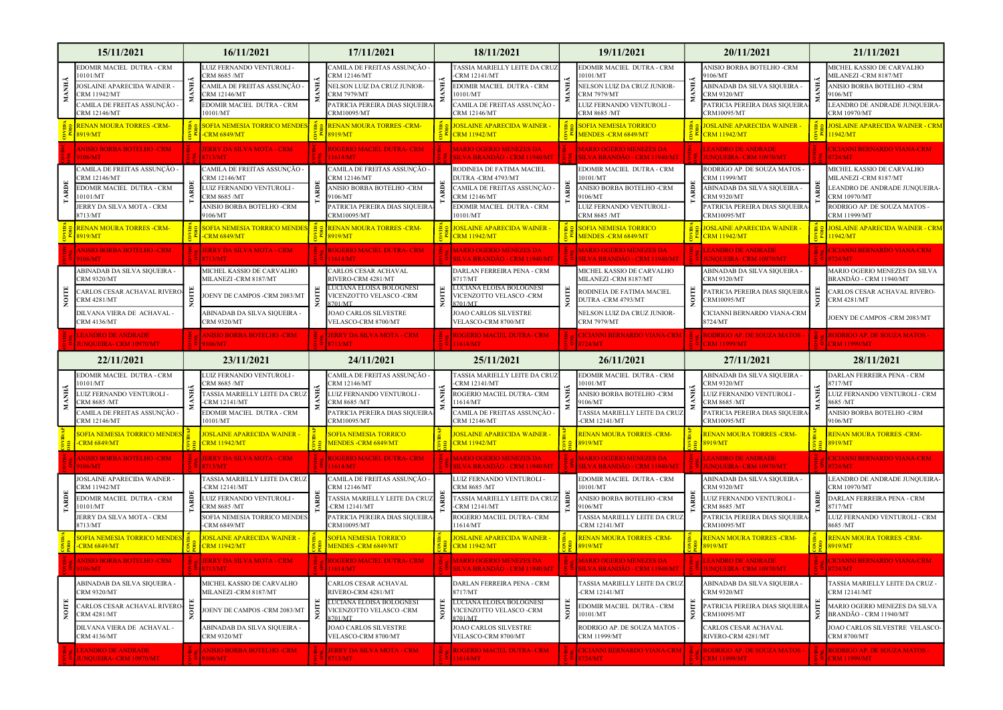|              | 15/11/2021                                                                                                                                          | 16/11/2021                                                                                                                                                     |           | 17/11/2021                                                                                                                                                                    |      | 18/11/2021                                                                                                                                                                                   |   | 19/11/2021                                                                                                                                                                                                   |    | 20/11/2021                                                                                                                                                                    | 21/11/2021                                                                                                                                                       |  |
|--------------|-----------------------------------------------------------------------------------------------------------------------------------------------------|----------------------------------------------------------------------------------------------------------------------------------------------------------------|-----------|-------------------------------------------------------------------------------------------------------------------------------------------------------------------------------|------|----------------------------------------------------------------------------------------------------------------------------------------------------------------------------------------------|---|--------------------------------------------------------------------------------------------------------------------------------------------------------------------------------------------------------------|----|-------------------------------------------------------------------------------------------------------------------------------------------------------------------------------|------------------------------------------------------------------------------------------------------------------------------------------------------------------|--|
| MANHÃ        | EDOMIR MACIEL DUTRA - CRM<br>0101/MT<br>JOSLAINE APARECIDA WAINER -<br>CRM 11942/MT<br>AMILA DE FREITAS ASSUNÇÃO -<br>CRM 12146/MT                  | LUIZ FERNANDO VENTUROLI -<br><b>RM 8685/MT</b><br>CAMILA DE FREITAS ASSUNÇÃO -<br><b>CRM 12146/MT</b><br>EDOMIR MACIEL DUTRA - CRM<br>0101/MT                  | ANH.      | AMILA DE FREITAS ASSUNÇÃO<br>RM 12146/MT<br>NELSON LUIZ DA CRUZ JUNIOR-<br>CRM 7979/MT<br>ATRICIA PEREIRA DIAS SIQUEIRA<br>CRM10095/MT                                        |      | <b>TASSIA MARIELLY LEITE DA CRUZ</b><br><b>RM 12141/MT</b><br>EDOMIR MACIEL DUTRA - CRM<br>0101/MT<br>AMILA DE FREITAS ASSUNCÃO -<br>CRM 12146/MT                                            |   | EDOMIR MACIEL DUTRA - CRM<br>0101/MT<br>NELSON LUIZ DA CRUZ JUNIOR-<br>RM 7979/MT<br>UIZ FERNANDO VENTUROLI -<br><b>RM 8685 /MT</b>                                                                          | È. | ANISIO BORBA BOTELHO -CRM<br>106/MT<br>ABINADAB DA SILVA SIQUEIRA -<br><b>RM 9320/MT</b><br>PATRICIA PEREIRA DIAS SIQUEIRA<br>CRM10095/MT                                     | MICHEL KASSIO DE CARVALHO<br><b>MILANEZI-CRM 8187/MT</b><br>ANISIO BORBA BOTELHO -CRM<br>106/MT<br>LEANDRO DE ANDRADE JUNQUEIRA-<br>CRM 10970/MT                 |  |
|              | <b>RENAN MOURA TORRES -CRM-</b><br>8919/MT                                                                                                          | <b>SOFIA NEMESIA TORRICO MENDES</b><br><b>RM 6849/MT</b>                                                                                                       |           | <b>RENAN MOURA TORRES -CRM-</b><br>8919/MT                                                                                                                                    |      | <b>IOSLAINE APARECIDA WAINER -</b><br><b>RM 11942/MT</b>                                                                                                                                     |   | <b>SOFIA NEMESIA TORRICO</b><br>MENDES -CRM 6849/MT                                                                                                                                                          |    | <mark>JOSLAINE APARECIDA WAINER -</mark><br><b>CRM 11942/MT</b>                                                                                                               | <b>JOSLAINE APARECIDA WAINER - CRM</b><br>1942/MT                                                                                                                |  |
|              | NISIO BORBA BOTELHO -CRM<br>106/MT                                                                                                                  | <b>ERRY DA SILVA MOTA - CRM</b><br>713/MT                                                                                                                      |           | <b>ROGERIO MACIEL DUTRA- CRM</b><br>1614/MT                                                                                                                                   |      | <b>MARIO OGERIO MENEZES DA</b><br><u>ILVA BRANDÃO - CRM 11940/MT</u>                                                                                                                         |   | <b>MARIO OGERIO MENEZES DA</b><br>SILVA BRANDÃO - CRM 11940/MT                                                                                                                                               |    | <b>LEANDRO DE ANDRADE</b><br><b>UNQUEIRA- CRM 10970/MT</b>                                                                                                                    | <b>CICIANNI BERNARDO VIANA-CRM</b><br>724/MT                                                                                                                     |  |
| TARDE        | 'AMILA DE FREITAS ASSUNÇÃO<br>RM 12146/MT<br>EDOMIR MACIEL DUTRA - CRM<br>0101/MT<br>ERRY DA SILVA MOTA - CRM                                       | CAMILA DE FREITAS ASSUNÇÃO -<br>CRM 12146/MT<br>LUIZ FERNANDO VENTUROLI -<br>CRM 8685 /MT<br>ANISIO BORBA BOTELHO -CRM                                         |           | CAMILA DE FREITAS ASSUNÇÃO :<br><b>CRM 12146/MT</b><br>ANISIO BORBA BOTELHO -CRM<br>9106/MT<br>PATRICIA PEREIRA DIAS SIQUEIRA                                                 |      | RODINEIA DE FATIMA MACIEL<br><b>DUTRA-CRM 4793/MT</b><br>CAMILA DE FREITAS ASSUNÇÃO -<br><b>RM 12146/MT</b><br>EDOMIR MACIEL DUTRA - CRM                                                     | ĕ | EDOMIR MACIEL DUTRA - CRM<br>0101/MT<br>ANISIO BORBA BOTELHO -CRM<br>106/MT<br><b>LUIZ FERNANDO VENTUROLI -</b>                                                                                              |    | RODRIGO AP. DE SOUZA MATOS -<br>RM 11999/MT<br>ABINADAB DA SILVA SIQUEIRA -<br>CRM 9320/MT<br>PATRICIA PEREIRA DIAS SIQUEIRA                                                  | MICHEL KASSIO DE CARVALHO<br>MILANEZI -CRM 8187/MT<br>LEANDRO DE ANDRADE JUNQUEIRA-<br><b>CRM 10970/MT</b><br>RODRIGO AP. DE SOUZA MATOS -                       |  |
|              | 2713/MT<br><b>RENAN MOURA TORRES -CRM-</b>                                                                                                          | 9106/MT<br>SOFIA NEMESIA TORRICO MENDES                                                                                                                        |           | <b>TRM10095/MT</b><br><b>RENAN MOURA TORRES -CRM-</b>                                                                                                                         |      | 10101/MT<br><b>IOSLAINE APARECIDA WAINER -</b>                                                                                                                                               |   | <b>CRM 8685 /MT</b><br><b>SOFIA NEMESIA TORRICO</b>                                                                                                                                                          |    | CRM10095/MT<br><mark>JOSLAINE APARECIDA WAINER -</mark>                                                                                                                       | CRM 11999/MT<br><b>JOSLAINE APARECIDA WAINER - CRM</b>                                                                                                           |  |
|              | 8919/MT<br>NISIO BORBA BOTELHO -CRM                                                                                                                 | CRM 6849/MT<br><b>JERRY DA SILVA MOTA - CRM</b>                                                                                                                |           | 8919/MT<br>ROGERIO MACIEL DUTRA- CRM                                                                                                                                          |      | <b>RM 11942/MT</b><br><b>MARIO OGERIO MENEZES DA</b>                                                                                                                                         |   | MENDES -CRM 6849/MT<br><b>MARIO OGERIO MENEZES DA</b>                                                                                                                                                        |    | <b>CRM 11942/MT</b><br><b>LEANDRO DE ANDRADE</b>                                                                                                                              | 1942/MT<br><b>CICIANNI BERNARDO VIANA-CRM</b>                                                                                                                    |  |
| NOITE        | 106/MT<br>BINADAB DA SILVA SIQUEIRA -<br><b>RM 9320/MT</b><br>ARLOS CESAR ACHAVAL RIVERO<br>RM 4281/MT<br>DILVANA VIERA DE ACHAVAL -<br>CRM 4136/MT | <b>713/MT</b><br>MICHEL KASSIO DE CARVALHO<br>MILANEZI -CRM 8187/MT<br>OENY DE CAMPOS -CRM 2083/MT<br>ABINADAB DA SILVA SIQUEIRA -<br>CRM 9320/MT              | <b>SE</b> | 11614/MT<br>ARLOS CESAR ACHAVAL<br>IVERO-CRM 4281/MT<br>JICIANA ELOISA BOLOGNESI<br>VICENZOTTO VELASCO -CRM<br>:701/MT<br><b>JOAO CARLOS SILVESTRE</b><br>VELASCO-CRM 8700/MT | OITE | SILVA BRANDÃO - CRM 11940/MT<br>DARLAN FERREIRA PENA - CRM<br>717/MT<br>LUCIANA ELOISA BOLOGNESI<br>VICENZOTTO VELASCO -CRM<br>:701/MT<br><b>OAO CARLOS SILVESTRE</b><br>VELASCO-CRM 8700/MT |   | SILVA BRANDÃO - CRM 11940/MT<br>MICHEL KASSIO DE CARVALHO<br><b>AILANEZI-CRM 8187/MT</b><br><b>CODINEIA DE FATIMA MACIEL</b><br><b>DUTRA-CRM 4793/MT</b><br>NELSON LUIZ DA CRUZ JUNIOR-<br><b>RM 7979/MT</b> |    | <b>UNOUEIRA-CRM 10970/MT</b><br>ABINADAB DA SILVA SIQUEIRA -<br><b>CRM 9320/MT</b><br>PATRICIA PEREIRA DIAS SIQUEIRA<br>CRM10095/MT<br>CICIANNI BERNARDO VIANA-CRM<br>8724/MT | 8724/MT<br>MARIO OGERIO MENEZES DA SILVA<br>BRANDÃO - CRM 11940/MT<br>ARLOS CESAR ACHAVAL RIVERO-<br><b>CRM 4281/MT</b><br>OENY DE CAMPOS -CRM 2083/MT           |  |
|              | <b>EANDRO DE ANDRADE</b><br><b>UNQUEIRA- CRM 10970/MT</b>                                                                                           | <b>ANISIO BORBA BOTELHO -CRM</b><br>9106/MT                                                                                                                    |           | <b>JERRY DA SILVA MOTA - CRM</b><br>8713/MT                                                                                                                                   |      | <b>ROGERIO MACIEL DUTRA- CRM</b><br>11614/MT                                                                                                                                                 |   | CICIANNI BERNARDO VIANA-CRM<br>8724/MT                                                                                                                                                                       |    | RODRIGO AP. DE SOUZA MATOS -<br><b>CRM 11999/MT</b>                                                                                                                           | <b>RODRIGO AP. DE SOUZA MATOS -</b><br><b>CRM 11999/MT</b>                                                                                                       |  |
|              |                                                                                                                                                     |                                                                                                                                                                |           |                                                                                                                                                                               |      |                                                                                                                                                                                              |   |                                                                                                                                                                                                              |    |                                                                                                                                                                               |                                                                                                                                                                  |  |
|              | 22/11/2021                                                                                                                                          | 23/11/2021                                                                                                                                                     |           | 24/11/2021                                                                                                                                                                    |      | 25/11/2021                                                                                                                                                                                   |   | 26/11/2021                                                                                                                                                                                                   |    | 27/11/2021                                                                                                                                                                    | 28/11/2021                                                                                                                                                       |  |
| MANHÃ        | EDOMIR MACIEL DUTRA - CRM<br>0101/MT<br>LUIZ FERNANDO VENTUROLI -<br>RM 8685 /MT<br>'AMILA DE FREITAS ASSUNÇÃO ·<br>RM 12146/MT                     | LUIZ FERNANDO VENTUROLI -<br><b>RM 8685/MT</b><br>TASSIA MARIELLY LEITE DA CRUZ<br><b>CRM 12141/MT</b><br>EDOMIR MACIEL DUTRA - CRM<br>0101/MT                 |           | CAMILA DE FREITAS ASSUNÇÃO<br><b>RM 12146/MT</b><br>LUIZ FERNANDO VENTUROLI -<br><b>RM 8685/MT</b><br>ATRICIA PEREIRA DIAS SIQUEIRA<br>CRM10095/MT                            |      | TASSIA MARIELLY LEITE DA CRUZ<br><b>CRM 12141/MT</b><br>ROGERIO MACIEL DUTRA- CRM<br>1614/MT<br>AMILA DE FREITAS ASSUNÇÃO -<br><b>RM 12146/MT</b>                                            |   | EDOMIR MACIEL DUTRA - CRM<br>0101/MT<br>ANISIO BORBA BOTELHO -CRM<br>106/MT<br>ASSIA MARIELLY LEITE DA CRUZ<br><b>CRM 12141/MT</b>                                                                           |    | ABINADAB DA SILVA SIQUEIRA -<br><b>RM 9320/MT</b><br>LUIZ FERNANDO VENTUROLI -<br><b>RM 8685/MT</b><br>PATRICIA PEREIRA DIAS SIQUEIRA<br>CRM10095/MT                          | DARLAN FERREIRA PENA - CRM<br>3717/MT<br>LUIZ FERNANDO VENTUROLI - CRM<br>8685/MT<br>ANISIO BORBA BOTELHO -CRM<br>106/MT                                         |  |
|              | OFIA NEMESIA TORRICO MENDES<br><b>CRM 6849/MT</b>                                                                                                   | OSLAINE APARECIDA WAINER -<br><b>RM 11942/MT</b>                                                                                                               |           | <b>SOFIA NEMESIA TORRICO</b><br>MENDES -CRM 6849/MT                                                                                                                           |      | <b>OSLAINE APARECIDA WAINER -</b><br><b>CRM 11942/MT</b>                                                                                                                                     |   | <b>RENAN MOURA TORRES -CRM-</b><br>3919/MT                                                                                                                                                                   |    | <b>RENAN MOURA TORRES -CRM-</b><br>919/MT                                                                                                                                     | <b>RENAN MOURA TORRES -CRM-</b><br>8919/MT                                                                                                                       |  |
|              | NISIO BORBA BOTELHO -CRM<br>106/MT                                                                                                                  | <b>JERRY DA SILVA MOTA - CRM</b><br><b>713/MT</b>                                                                                                              |           | <b>ROGERIO MACIEL DUTRA- CRM</b><br>11614/MT                                                                                                                                  |      | <b>MARIO OGERIO MENEZES DA</b><br>SILVA BRANDÃO - CRM 11940/MT                                                                                                                               |   | <b>MARIO OGERIO MENEZES DA</b><br>SILVA BRANDÃO - CRM 11940/MT                                                                                                                                               |    | <b>LEANDRO DE ANDRADE</b><br><b>JUNQUEIRA- CRM 10970/MT</b>                                                                                                                   | <b>CICIANNI BERNARDO VIANA-CRM</b><br>R724/MT                                                                                                                    |  |
| <b>EARDI</b> | OSLAINE APARECIDA WAINER -<br><b>RM 11942/MT</b><br>EDOMIR MACIEL DUTRA - CRM<br>0101/MT<br>ERRY DA SILVA MOTA - CRM<br>3713/MT                     | <b>TASSIA MARIELLY LEITE DA CRUZ</b><br><b>CRM 12141/MT</b><br>LUIZ FERNANDO VENTUROLI -<br>CRM 8685 /MT<br>SOFIA NEMESIA TORRICO MENDES<br><b>CRM 6849/MT</b> |           | CAMILA DE FREITAS ASSUNCÃO -<br>RM 12146/MT<br>TASSIA MARIELLY LEITE DA CRUZ<br>CRM 12141/MT<br>PATRICIA PEREIRA DIAS SIQUEIRA<br>CRM10095/MT                                 |      | LUIZ FERNANDO VENTUROLI -<br><b>RM 8685 /MT</b><br><b>TASSIA MARIELLY LEITE DA CRUZ</b><br><b>CRM 12141/MT</b><br>ROGERIO MACIEL DUTRA- CRM<br>1614/MT                                       |   | EDOMIR MACIEL DUTRA - CRM<br>0101/MT<br>ANISIO BORBA BOTELHO -CRM<br>106/MT<br>ASSIA MARIELLY LEITE DA CRUZ<br>CRM 12141/MT                                                                                  |    | ABINADAB DA SILVA SIQUEIRA -<br><b>CRM 9320/MT</b><br>LUIZ FERNANDO VENTUROLI -<br>CRM 8685 /MT<br>PATRICIA PEREIRA DIAS SIQUEIRA<br>CRM10095/MT                              | LEANDRO DE ANDRADE JUNQUEIRA-<br>RM 10970/MT<br>DARLAN FERREIRA PENA - CRM<br>8717/MT<br>LUIZ FERNANDO VENTUROLI - CRM<br>8685 /MT                               |  |
|              | <mark>SOFIA NEMESIA TORRICO MENDES</mark><br>CRM 6849/MT                                                                                            | <b>JOSLAINE APARECIDA WAINER -</b><br><b>CRM 11942/MT</b>                                                                                                      |           | <b>SOFIA NEMESIA TORRICO</b><br>MENDES -CRM 6849/MT                                                                                                                           |      | <b>IOSLAINE APARECIDA WAINER -</b><br><b>CRM 11942/MT</b>                                                                                                                                    |   | <b>RENAN MOURA TORRES -CRM-</b><br>8919/MT                                                                                                                                                                   |    | <b>RENAN MOURA TORRES -CRM-</b><br>8919/MT                                                                                                                                    | <b>RENAN MOURA TORRES -CRM-</b><br>8919/MT                                                                                                                       |  |
|              | NISIO BORBA BOTELHO -CRM<br>106/MT                                                                                                                  | <b>JERRY DA SILVA MOTA - CRM</b><br>8713/MT                                                                                                                    |           | <b>ROGERIO MACIEL DUTRA- CRM</b><br>11614/MT                                                                                                                                  |      | <b>MARIO OGERIO MENEZES DA</b><br>SILVA BRANDÃO - CRM 11940/MT                                                                                                                               |   | MARIO OGERIO MENEZES DA<br>SILVA BRANDÃO - CRM 11940/MT                                                                                                                                                      |    | <b>LEANDRO DE ANDRADE</b><br>JUNQUEIRA- CRM 10970/MT                                                                                                                          | <b>CICIANNI BERNARDO VIANA-CRM</b><br>$5$ $8724/MT$                                                                                                              |  |
| NOITE        | ABINADAB DA SILVA SIQUEIRA -<br>CRM 9320/MT<br>CARLOS CESAR ACHAVAL RIVER<br>CRM 4281/MT<br>DILVANA VIERA DE ACHAVAL -<br><b>CRM 4136/MT</b>        | MICHEL KASSIO DE CARVALHO<br><b>MILANEZI -CRM 8187/MT</b><br>OENY DE CAMPOS -CRM 2083/MT<br>ABINADAB DA SILVA SIQUEIRA -<br><b>RM 9320/MT</b>                  | ğ         | ARLOS CESAR ACHAVAL<br>RIVERO-CRM 4281/MT<br>LUCIANA ELOISA BOLOGNESI<br>VICENZOTTO VELASCO -CRM<br>701/MT<br><b>OAO CARLOS SILVESTRE</b><br>VELASCO-CRM 8700/MT              |      | DARLAN FERREIRA PENA - CRM<br>3717/MT<br>LUCIANA ELOISA BOLOGNES<br>VICENZOTTO VELASCO -CRM<br>701/MT<br><b>JOAO CARLOS SILVESTRE</b><br>VELASCO-CRM 8700/MT                                 |   | ASSIA MARIELLY LEITE DA CRUZ<br>CRM 12141/MT<br>EDOMIR MACIEL DUTRA - CRM<br>0101/MT<br>ODRIGO AP. DE SOUZA MATOS -<br>RM 11999/MT                                                                           |    | ABINADAB DA SILVA SIQUEIRA -<br>CRM 9320/MT<br>PATRICIA PEREIRA DIAS SIQUEIRA<br>CRM10095/MT<br>CARLOS CESAR ACHAVAL<br>RIVERO-CRM 4281/MT                                    | ASSIA MARIELLY LEITE DA CRUZ -<br>CRM 12141/MT<br>MARIO OGERIO MENEZES DA SILVA<br>BRANDÃO - CRM 11940/MT<br>OAO CARLOS SILVESTRE VELASCO-<br><b>CRM 8700/MT</b> |  |